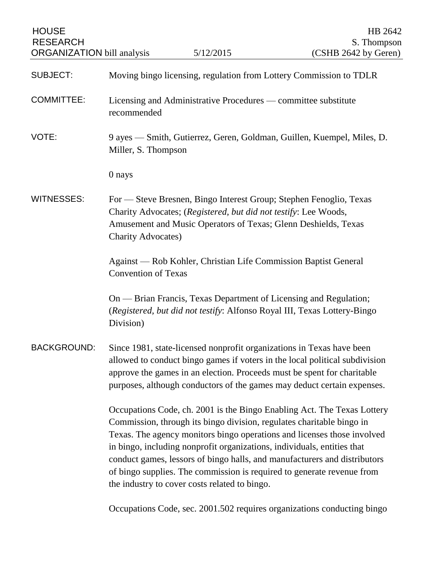| <b>HOUSE</b><br><b>RESEARCH</b><br><b>ORGANIZATION</b> bill analysis |                                                                                                                                                                                                                                                                                                                                                                                                                                                                                                                | 5/12/2015                                                                                                                                                                                               | HB 2642<br>S. Thompson<br>(CSHB 2642 by Geren)                                                                                                         |
|----------------------------------------------------------------------|----------------------------------------------------------------------------------------------------------------------------------------------------------------------------------------------------------------------------------------------------------------------------------------------------------------------------------------------------------------------------------------------------------------------------------------------------------------------------------------------------------------|---------------------------------------------------------------------------------------------------------------------------------------------------------------------------------------------------------|--------------------------------------------------------------------------------------------------------------------------------------------------------|
| <b>SUBJECT:</b>                                                      |                                                                                                                                                                                                                                                                                                                                                                                                                                                                                                                | Moving bingo licensing, regulation from Lottery Commission to TDLR                                                                                                                                      |                                                                                                                                                        |
| <b>COMMITTEE:</b>                                                    | recommended                                                                                                                                                                                                                                                                                                                                                                                                                                                                                                    | Licensing and Administrative Procedures — committee substitute                                                                                                                                          |                                                                                                                                                        |
| VOTE:                                                                | Miller, S. Thompson                                                                                                                                                                                                                                                                                                                                                                                                                                                                                            |                                                                                                                                                                                                         | 9 ayes — Smith, Gutierrez, Geren, Goldman, Guillen, Kuempel, Miles, D.                                                                                 |
|                                                                      | 0 nays                                                                                                                                                                                                                                                                                                                                                                                                                                                                                                         |                                                                                                                                                                                                         |                                                                                                                                                        |
| <b>WITNESSES:</b>                                                    | <b>Charity Advocates)</b>                                                                                                                                                                                                                                                                                                                                                                                                                                                                                      | For — Steve Bresnen, Bingo Interest Group; Stephen Fenoglio, Texas<br>Charity Advocates; (Registered, but did not testify: Lee Woods,<br>Amusement and Music Operators of Texas; Glenn Deshields, Texas |                                                                                                                                                        |
|                                                                      | <b>Convention of Texas</b>                                                                                                                                                                                                                                                                                                                                                                                                                                                                                     | Against — Rob Kohler, Christian Life Commission Baptist General                                                                                                                                         |                                                                                                                                                        |
|                                                                      | Division)                                                                                                                                                                                                                                                                                                                                                                                                                                                                                                      | On — Brian Francis, Texas Department of Licensing and Regulation;<br>(Registered, but did not testify: Alfonso Royal III, Texas Lottery-Bingo                                                           |                                                                                                                                                        |
| <b>BACKGROUND:</b>                                                   |                                                                                                                                                                                                                                                                                                                                                                                                                                                                                                                | Since 1981, state-licensed nonprofit organizations in Texas have been<br>approve the games in an election. Proceeds must be spent for charitable                                                        | allowed to conduct bingo games if voters in the local political subdivision<br>purposes, although conductors of the games may deduct certain expenses. |
|                                                                      | Occupations Code, ch. 2001 is the Bingo Enabling Act. The Texas Lottery<br>Commission, through its bingo division, regulates charitable bingo in<br>Texas. The agency monitors bingo operations and licenses those involved<br>in bingo, including nonprofit organizations, individuals, entities that<br>conduct games, lessors of bingo halls, and manufacturers and distributors<br>of bingo supplies. The commission is required to generate revenue from<br>the industry to cover costs related to bingo. |                                                                                                                                                                                                         |                                                                                                                                                        |
|                                                                      |                                                                                                                                                                                                                                                                                                                                                                                                                                                                                                                |                                                                                                                                                                                                         | Occupations Code, sec. 2001.502 requires organizations conducting bingo                                                                                |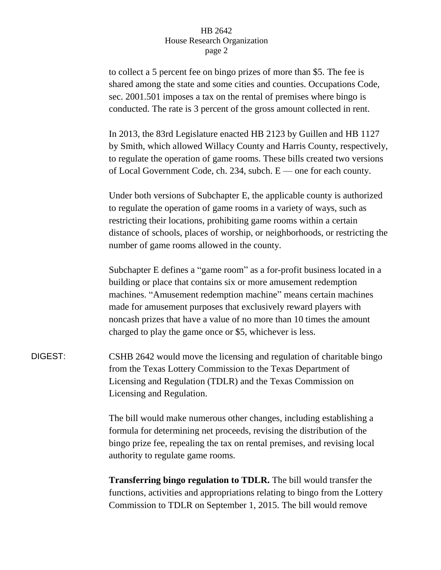to collect a 5 percent fee on bingo prizes of more than \$5. The fee is shared among the state and some cities and counties. Occupations Code, sec. 2001.501 imposes a tax on the rental of premises where bingo is conducted. The rate is 3 percent of the gross amount collected in rent.

In 2013, the 83rd Legislature enacted HB 2123 by Guillen and HB 1127 by Smith, which allowed Willacy County and Harris County, respectively, to regulate the operation of game rooms. These bills created two versions of Local Government Code, ch. 234, subch. E — one for each county.

Under both versions of Subchapter E, the applicable county is authorized to regulate the operation of game rooms in a variety of ways, such as restricting their locations, prohibiting game rooms within a certain distance of schools, places of worship, or neighborhoods, or restricting the number of game rooms allowed in the county.

Subchapter E defines a "game room" as a for-profit business located in a building or place that contains six or more amusement redemption machines. "Amusement redemption machine" means certain machines made for amusement purposes that exclusively reward players with noncash prizes that have a value of no more than 10 times the amount charged to play the game once or \$5, whichever is less.

DIGEST: CSHB 2642 would move the licensing and regulation of charitable bingo from the Texas Lottery Commission to the Texas Department of Licensing and Regulation (TDLR) and the Texas Commission on Licensing and Regulation.

> The bill would make numerous other changes, including establishing a formula for determining net proceeds, revising the distribution of the bingo prize fee, repealing the tax on rental premises, and revising local authority to regulate game rooms.

**Transferring bingo regulation to TDLR.** The bill would transfer the functions, activities and appropriations relating to bingo from the Lottery Commission to TDLR on September 1, 2015. The bill would remove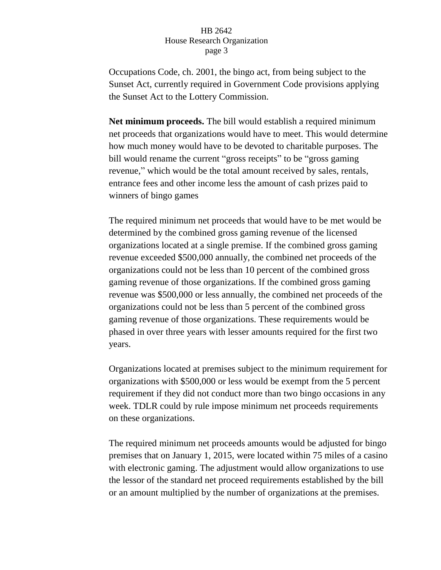Occupations Code, ch. 2001, the bingo act, from being subject to the Sunset Act, currently required in Government Code provisions applying the Sunset Act to the Lottery Commission.

**Net minimum proceeds.** The bill would establish a required minimum net proceeds that organizations would have to meet. This would determine how much money would have to be devoted to charitable purposes. The bill would rename the current "gross receipts" to be "gross gaming revenue," which would be the total amount received by sales, rentals, entrance fees and other income less the amount of cash prizes paid to winners of bingo games

The required minimum net proceeds that would have to be met would be determined by the combined gross gaming revenue of the licensed organizations located at a single premise. If the combined gross gaming revenue exceeded \$500,000 annually, the combined net proceeds of the organizations could not be less than 10 percent of the combined gross gaming revenue of those organizations. If the combined gross gaming revenue was \$500,000 or less annually, the combined net proceeds of the organizations could not be less than 5 percent of the combined gross gaming revenue of those organizations. These requirements would be phased in over three years with lesser amounts required for the first two years.

Organizations located at premises subject to the minimum requirement for organizations with \$500,000 or less would be exempt from the 5 percent requirement if they did not conduct more than two bingo occasions in any week. TDLR could by rule impose minimum net proceeds requirements on these organizations.

The required minimum net proceeds amounts would be adjusted for bingo premises that on January 1, 2015, were located within 75 miles of a casino with electronic gaming. The adjustment would allow organizations to use the lessor of the standard net proceed requirements established by the bill or an amount multiplied by the number of organizations at the premises.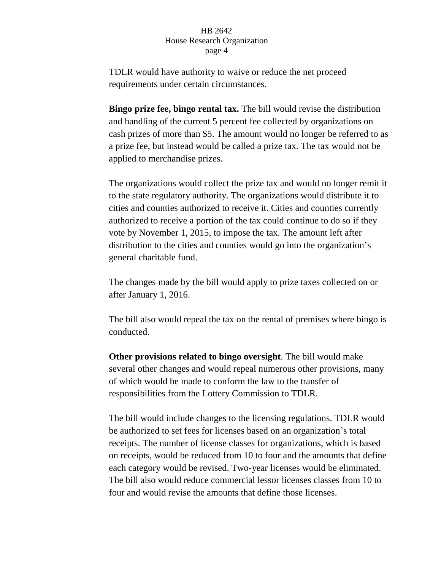TDLR would have authority to waive or reduce the net proceed requirements under certain circumstances.

**Bingo prize fee, bingo rental tax.** The bill would revise the distribution and handling of the current 5 percent fee collected by organizations on cash prizes of more than \$5. The amount would no longer be referred to as a prize fee, but instead would be called a prize tax. The tax would not be applied to merchandise prizes.

The organizations would collect the prize tax and would no longer remit it to the state regulatory authority. The organizations would distribute it to cities and counties authorized to receive it. Cities and counties currently authorized to receive a portion of the tax could continue to do so if they vote by November 1, 2015, to impose the tax. The amount left after distribution to the cities and counties would go into the organization's general charitable fund.

The changes made by the bill would apply to prize taxes collected on or after January 1, 2016.

The bill also would repeal the tax on the rental of premises where bingo is conducted.

**Other provisions related to bingo oversight**. The bill would make several other changes and would repeal numerous other provisions, many of which would be made to conform the law to the transfer of responsibilities from the Lottery Commission to TDLR.

The bill would include changes to the licensing regulations. TDLR would be authorized to set fees for licenses based on an organization's total receipts. The number of license classes for organizations, which is based on receipts, would be reduced from 10 to four and the amounts that define each category would be revised. Two-year licenses would be eliminated. The bill also would reduce commercial lessor licenses classes from 10 to four and would revise the amounts that define those licenses.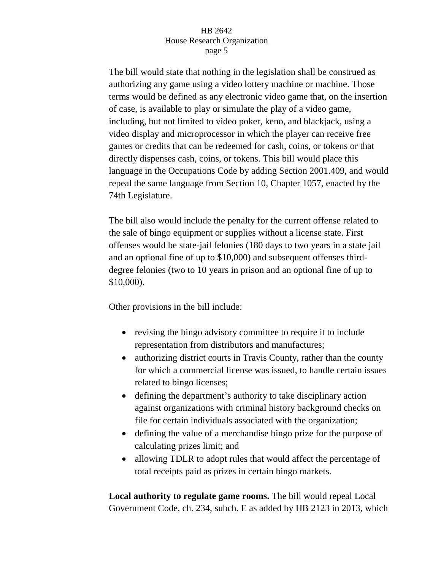The bill would state that nothing in the legislation shall be construed as authorizing any game using a video lottery machine or machine. Those terms would be defined as any electronic video game that, on the insertion of case, is available to play or simulate the play of a video game, including, but not limited to video poker, keno, and blackjack, using a video display and microprocessor in which the player can receive free games or credits that can be redeemed for cash, coins, or tokens or that directly dispenses cash, coins, or tokens. This bill would place this language in the Occupations Code by adding Section 2001.409, and would repeal the same language from Section 10, Chapter 1057, enacted by the 74th Legislature.

The bill also would include the penalty for the current offense related to the sale of bingo equipment or supplies without a license state. First offenses would be state-jail felonies (180 days to two years in a state jail and an optional fine of up to \$10,000) and subsequent offenses thirddegree felonies (two to 10 years in prison and an optional fine of up to \$10,000).

Other provisions in the bill include:

- revising the bingo advisory committee to require it to include representation from distributors and manufactures;
- authorizing district courts in Travis County, rather than the county for which a commercial license was issued, to handle certain issues related to bingo licenses;
- defining the department's authority to take disciplinary action against organizations with criminal history background checks on file for certain individuals associated with the organization;
- defining the value of a merchandise bingo prize for the purpose of calculating prizes limit; and
- allowing TDLR to adopt rules that would affect the percentage of total receipts paid as prizes in certain bingo markets.

**Local authority to regulate game rooms.** The bill would repeal Local Government Code, ch. 234, subch. E as added by HB 2123 in 2013, which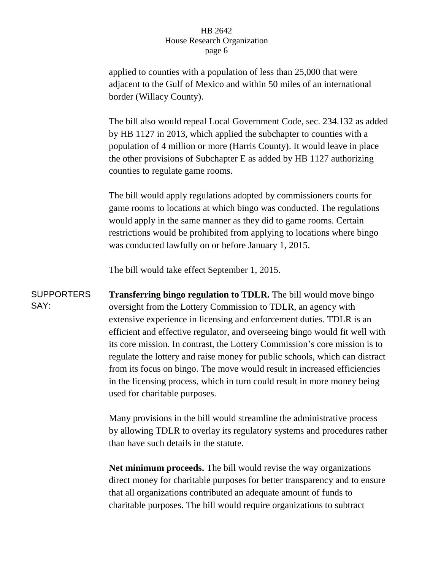applied to counties with a population of less than 25,000 that were adjacent to the Gulf of Mexico and within 50 miles of an international border (Willacy County).

The bill also would repeal Local Government Code, sec. 234.132 as added by HB 1127 in 2013, which applied the subchapter to counties with a population of 4 million or more (Harris County). It would leave in place the other provisions of Subchapter E as added by HB 1127 authorizing counties to regulate game rooms.

The bill would apply regulations adopted by commissioners courts for game rooms to locations at which bingo was conducted. The regulations would apply in the same manner as they did to game rooms. Certain restrictions would be prohibited from applying to locations where bingo was conducted lawfully on or before January 1, 2015.

The bill would take effect September 1, 2015.

**SUPPORTERS** SAY: **Transferring bingo regulation to TDLR.** The bill would move bingo oversight from the Lottery Commission to TDLR, an agency with extensive experience in licensing and enforcement duties. TDLR is an efficient and effective regulator, and overseeing bingo would fit well with its core mission. In contrast, the Lottery Commission's core mission is to regulate the lottery and raise money for public schools, which can distract from its focus on bingo. The move would result in increased efficiencies in the licensing process, which in turn could result in more money being used for charitable purposes.

> Many provisions in the bill would streamline the administrative process by allowing TDLR to overlay its regulatory systems and procedures rather than have such details in the statute.

> **Net minimum proceeds.** The bill would revise the way organizations direct money for charitable purposes for better transparency and to ensure that all organizations contributed an adequate amount of funds to charitable purposes. The bill would require organizations to subtract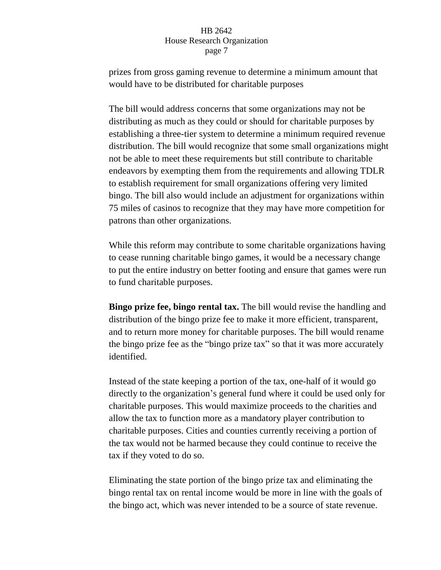prizes from gross gaming revenue to determine a minimum amount that would have to be distributed for charitable purposes

The bill would address concerns that some organizations may not be distributing as much as they could or should for charitable purposes by establishing a three-tier system to determine a minimum required revenue distribution. The bill would recognize that some small organizations might not be able to meet these requirements but still contribute to charitable endeavors by exempting them from the requirements and allowing TDLR to establish requirement for small organizations offering very limited bingo. The bill also would include an adjustment for organizations within 75 miles of casinos to recognize that they may have more competition for patrons than other organizations.

While this reform may contribute to some charitable organizations having to cease running charitable bingo games, it would be a necessary change to put the entire industry on better footing and ensure that games were run to fund charitable purposes.

**Bingo prize fee, bingo rental tax.** The bill would revise the handling and distribution of the bingo prize fee to make it more efficient, transparent, and to return more money for charitable purposes. The bill would rename the bingo prize fee as the "bingo prize tax" so that it was more accurately identified.

Instead of the state keeping a portion of the tax, one-half of it would go directly to the organization's general fund where it could be used only for charitable purposes. This would maximize proceeds to the charities and allow the tax to function more as a mandatory player contribution to charitable purposes. Cities and counties currently receiving a portion of the tax would not be harmed because they could continue to receive the tax if they voted to do so.

Eliminating the state portion of the bingo prize tax and eliminating the bingo rental tax on rental income would be more in line with the goals of the bingo act, which was never intended to be a source of state revenue.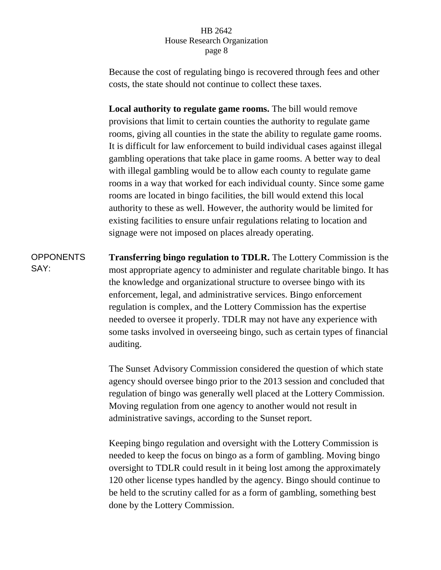Because the cost of regulating bingo is recovered through fees and other costs, the state should not continue to collect these taxes.

**Local authority to regulate game rooms.** The bill would remove provisions that limit to certain counties the authority to regulate game rooms, giving all counties in the state the ability to regulate game rooms. It is difficult for law enforcement to build individual cases against illegal gambling operations that take place in game rooms. A better way to deal with illegal gambling would be to allow each county to regulate game rooms in a way that worked for each individual county. Since some game rooms are located in bingo facilities, the bill would extend this local authority to these as well. However, the authority would be limited for existing facilities to ensure unfair regulations relating to location and signage were not imposed on places already operating.

**OPPONENTS** SAY: **Transferring bingo regulation to TDLR.** The Lottery Commission is the most appropriate agency to administer and regulate charitable bingo. It has the knowledge and organizational structure to oversee bingo with its enforcement, legal, and administrative services. Bingo enforcement regulation is complex, and the Lottery Commission has the expertise needed to oversee it properly. TDLR may not have any experience with some tasks involved in overseeing bingo, such as certain types of financial auditing.

> The Sunset Advisory Commission considered the question of which state agency should oversee bingo prior to the 2013 session and concluded that regulation of bingo was generally well placed at the Lottery Commission. Moving regulation from one agency to another would not result in administrative savings, according to the Sunset report.

Keeping bingo regulation and oversight with the Lottery Commission is needed to keep the focus on bingo as a form of gambling. Moving bingo oversight to TDLR could result in it being lost among the approximately 120 other license types handled by the agency. Bingo should continue to be held to the scrutiny called for as a form of gambling, something best done by the Lottery Commission.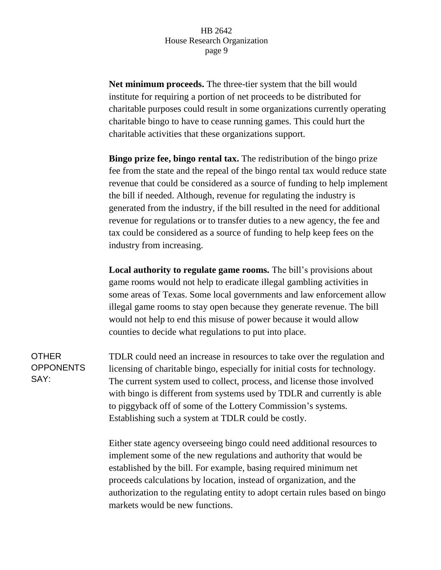**Net minimum proceeds.** The three-tier system that the bill would institute for requiring a portion of net proceeds to be distributed for charitable purposes could result in some organizations currently operating charitable bingo to have to cease running games. This could hurt the charitable activities that these organizations support.

**Bingo prize fee, bingo rental tax.** The redistribution of the bingo prize fee from the state and the repeal of the bingo rental tax would reduce state revenue that could be considered as a source of funding to help implement the bill if needed. Although, revenue for regulating the industry is generated from the industry, if the bill resulted in the need for additional revenue for regulations or to transfer duties to a new agency, the fee and tax could be considered as a source of funding to help keep fees on the industry from increasing.

**Local authority to regulate game rooms.** The bill's provisions about game rooms would not help to eradicate illegal gambling activities in some areas of Texas. Some local governments and law enforcement allow illegal game rooms to stay open because they generate revenue. The bill would not help to end this misuse of power because it would allow counties to decide what regulations to put into place.

TDLR could need an increase in resources to take over the regulation and licensing of charitable bingo, especially for initial costs for technology. The current system used to collect, process, and license those involved with bingo is different from systems used by TDLR and currently is able to piggyback off of some of the Lottery Commission's systems. Establishing such a system at TDLR could be costly.

Either state agency overseeing bingo could need additional resources to implement some of the new regulations and authority that would be established by the bill. For example, basing required minimum net proceeds calculations by location, instead of organization, and the authorization to the regulating entity to adopt certain rules based on bingo markets would be new functions.

**OTHER OPPONENTS** SAY: